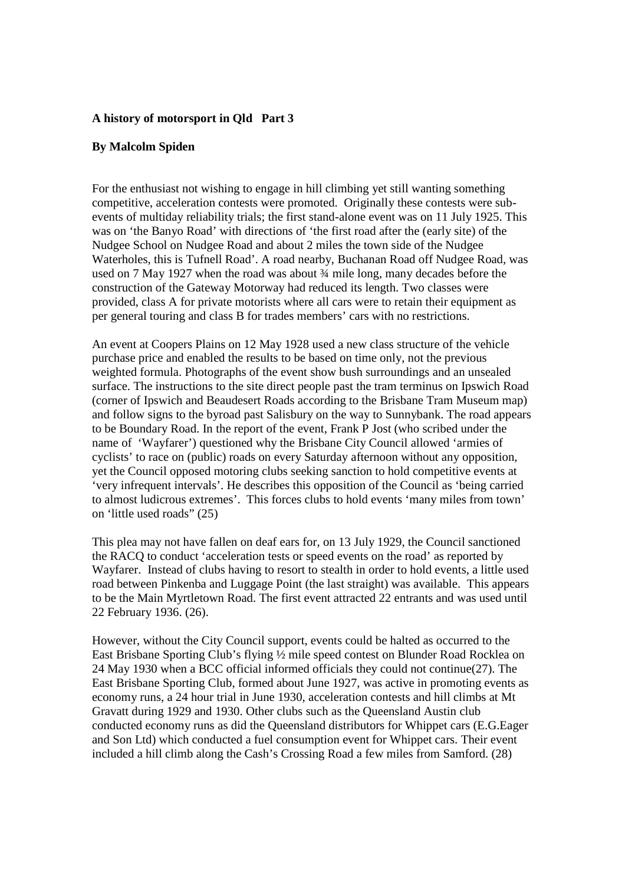## **A history of motorsport in Qld Part 3**

## **By Malcolm Spiden**

For the enthusiast not wishing to engage in hill climbing yet still wanting something competitive, acceleration contests were promoted. Originally these contests were subevents of multiday reliability trials; the first stand-alone event was on 11 July 1925. This was on 'the Banyo Road' with directions of 'the first road after the (early site) of the Nudgee School on Nudgee Road and about 2 miles the town side of the Nudgee Waterholes, this is Tufnell Road'. A road nearby, Buchanan Road off Nudgee Road, was used on 7 May 1927 when the road was about  $\frac{3}{4}$  mile long, many decades before the construction of the Gateway Motorway had reduced its length. Two classes were provided, class A for private motorists where all cars were to retain their equipment as per general touring and class B for trades members' cars with no restrictions.

An event at Coopers Plains on 12 May 1928 used a new class structure of the vehicle purchase price and enabled the results to be based on time only, not the previous weighted formula. Photographs of the event show bush surroundings and an unsealed surface. The instructions to the site direct people past the tram terminus on Ipswich Road (corner of Ipswich and Beaudesert Roads according to the Brisbane Tram Museum map) and follow signs to the byroad past Salisbury on the way to Sunnybank. The road appears to be Boundary Road. In the report of the event, Frank P Jost (who scribed under the name of 'Wayfarer') questioned why the Brisbane City Council allowed 'armies of cyclists' to race on (public) roads on every Saturday afternoon without any opposition, yet the Council opposed motoring clubs seeking sanction to hold competitive events at 'very infrequent intervals'. He describes this opposition of the Council as 'being carried to almost ludicrous extremes'. This forces clubs to hold events 'many miles from town' on 'little used roads" (25)

This plea may not have fallen on deaf ears for, on 13 July 1929, the Council sanctioned the RACQ to conduct 'acceleration tests or speed events on the road' as reported by Wayfarer. Instead of clubs having to resort to stealth in order to hold events, a little used road between Pinkenba and Luggage Point (the last straight) was available. This appears to be the Main Myrtletown Road. The first event attracted 22 entrants and was used until 22 February 1936. (26).

However, without the City Council support, events could be halted as occurred to the East Brisbane Sporting Club's flying ½ mile speed contest on Blunder Road Rocklea on 24 May 1930 when a BCC official informed officials they could not continue(27). The East Brisbane Sporting Club, formed about June 1927, was active in promoting events as economy runs, a 24 hour trial in June 1930, acceleration contests and hill climbs at Mt Gravatt during 1929 and 1930. Other clubs such as the Queensland Austin club conducted economy runs as did the Queensland distributors for Whippet cars (E.G.Eager and Son Ltd) which conducted a fuel consumption event for Whippet cars. Their event included a hill climb along the Cash's Crossing Road a few miles from Samford. (28)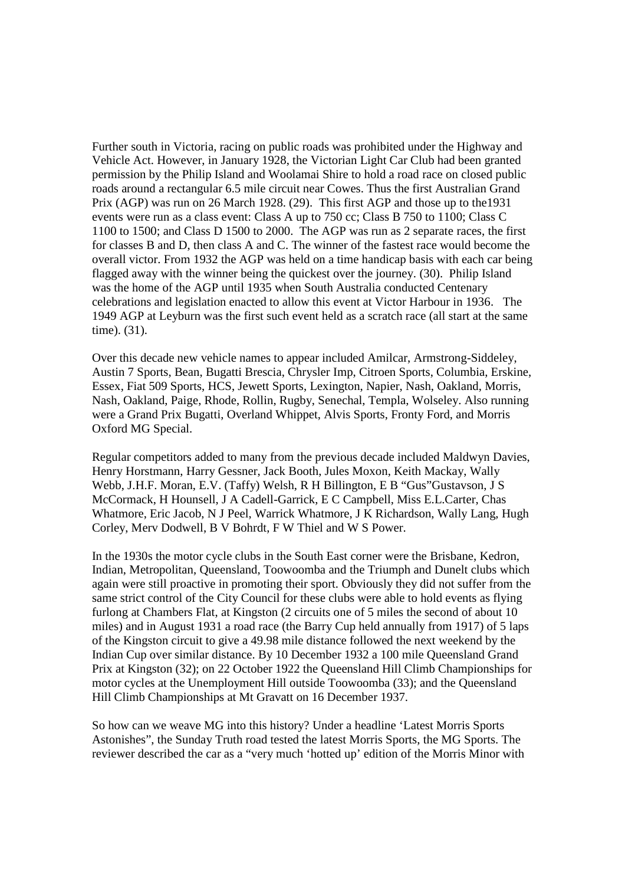Further south in Victoria, racing on public roads was prohibited under the Highway and Vehicle Act. However, in January 1928, the Victorian Light Car Club had been granted permission by the Philip Island and Woolamai Shire to hold a road race on closed public roads around a rectangular 6.5 mile circuit near Cowes. Thus the first Australian Grand Prix (AGP) was run on 26 March 1928. (29). This first AGP and those up to the1931 events were run as a class event: Class A up to 750 cc; Class B 750 to 1100; Class C 1100 to 1500; and Class D 1500 to 2000. The AGP was run as 2 separate races, the first for classes B and D, then class A and C. The winner of the fastest race would become the overall victor. From 1932 the AGP was held on a time handicap basis with each car being flagged away with the winner being the quickest over the journey. (30). Philip Island was the home of the AGP until 1935 when South Australia conducted Centenary celebrations and legislation enacted to allow this event at Victor Harbour in 1936. The 1949 AGP at Leyburn was the first such event held as a scratch race (all start at the same time). (31).

Over this decade new vehicle names to appear included Amilcar, Armstrong-Siddeley, Austin 7 Sports, Bean, Bugatti Brescia, Chrysler Imp, Citroen Sports, Columbia, Erskine, Essex, Fiat 509 Sports, HCS, Jewett Sports, Lexington, Napier, Nash, Oakland, Morris, Nash, Oakland, Paige, Rhode, Rollin, Rugby, Senechal, Templa, Wolseley. Also running were a Grand Prix Bugatti, Overland Whippet, Alvis Sports, Fronty Ford, and Morris Oxford MG Special.

Regular competitors added to many from the previous decade included Maldwyn Davies, Henry Horstmann, Harry Gessner, Jack Booth, Jules Moxon, Keith Mackay, Wally Webb, J.H.F. Moran, E.V. (Taffy) Welsh, R H Billington, E B "Gus"Gustavson, J S McCormack, H Hounsell, J A Cadell-Garrick, E C Campbell, Miss E.L.Carter, Chas Whatmore, Eric Jacob, N J Peel, Warrick Whatmore, J K Richardson, Wally Lang, Hugh Corley, Merv Dodwell, B V Bohrdt, F W Thiel and W S Power.

In the 1930s the motor cycle clubs in the South East corner were the Brisbane, Kedron, Indian, Metropolitan, Queensland, Toowoomba and the Triumph and Dunelt clubs which again were still proactive in promoting their sport. Obviously they did not suffer from the same strict control of the City Council for these clubs were able to hold events as flying furlong at Chambers Flat, at Kingston (2 circuits one of 5 miles the second of about 10 miles) and in August 1931 a road race (the Barry Cup held annually from 1917) of 5 laps of the Kingston circuit to give a 49.98 mile distance followed the next weekend by the Indian Cup over similar distance. By 10 December 1932 a 100 mile Queensland Grand Prix at Kingston (32); on 22 October 1922 the Queensland Hill Climb Championships for motor cycles at the Unemployment Hill outside Toowoomba (33); and the Queensland Hill Climb Championships at Mt Gravatt on 16 December 1937.

So how can we weave MG into this history? Under a headline 'Latest Morris Sports Astonishes", the Sunday Truth road tested the latest Morris Sports, the MG Sports. The reviewer described the car as a "very much 'hotted up' edition of the Morris Minor with